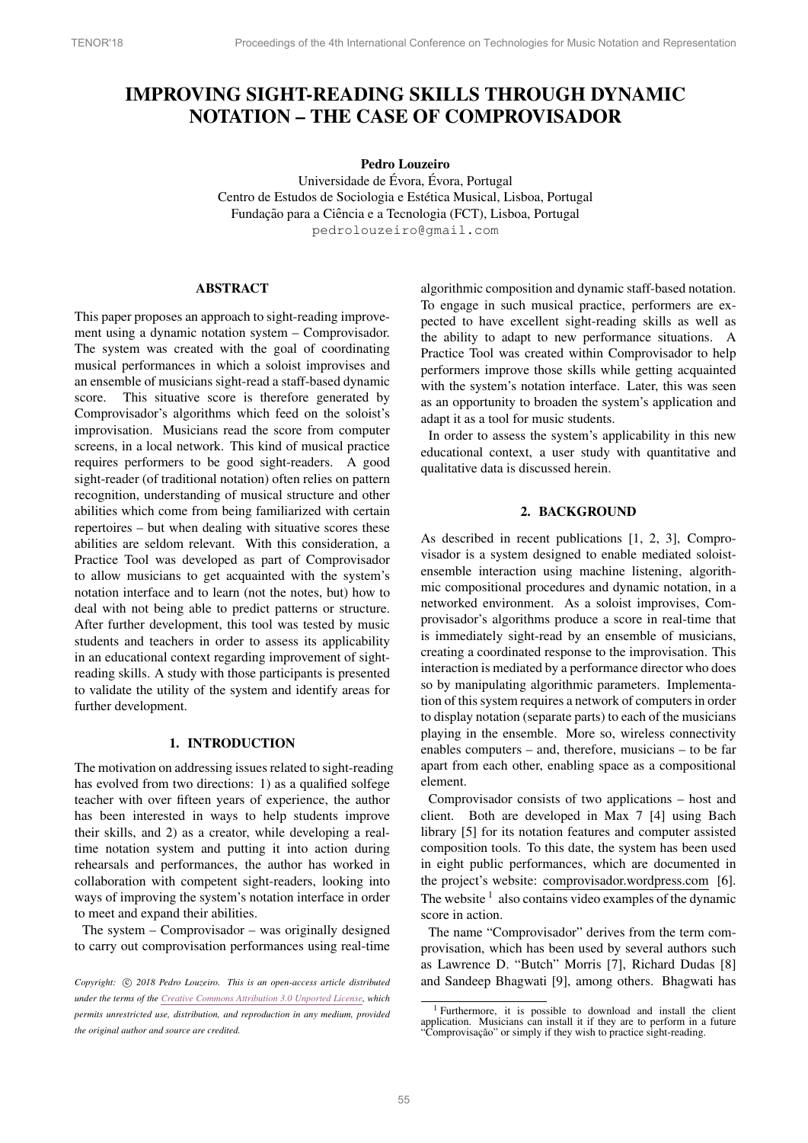# IMPROVING SIGHT-READING SKILLS THROUGH DYNAMIC NOTATION – THE CASE OF COMPROVISADOR

# Pedro Louzeiro

Universidade de Évora, Évora, Portugal Centro de Estudos de Sociologia e Estética Musical, Lisboa, Portugal Fundação para a Ciência e a Tecnologia (FCT), Lisboa, Portugal [pedrolouzeiro@gmail.com](mailto:pedrolouzeiro@gmail.com)

## ABSTRACT

This paper proposes an approach to sight-reading improvement using a dynamic notation system – Comprovisador. The system was created with the goal of coordinating musical performances in which a soloist improvises and an ensemble of musicians sight-read a staff-based dynamic score. This situative score is therefore generated by Comprovisador's algorithms which feed on the soloist's improvisation. Musicians read the score from computer screens, in a local network. This kind of musical practice requires performers to be good sight-readers. A good sight-reader (of traditional notation) often relies on pattern recognition, understanding of musical structure and other abilities which come from being familiarized with certain repertoires – but when dealing with situative scores these abilities are seldom relevant. With this consideration, a Practice Tool was developed as part of Comprovisador to allow musicians to get acquainted with the system's notation interface and to learn (not the notes, but) how to deal with not being able to predict patterns or structure. After further development, this tool was tested by music students and teachers in order to assess its applicability in an educational context regarding improvement of sightreading skills. A study with those participants is presented to validate the utility of the system and identify areas for further development.

# 1. INTRODUCTION

The motivation on addressing issues related to sight-reading has evolved from two directions: 1) as a qualified solfege teacher with over fifteen years of experience, the author has been interested in ways to help students improve their skills, and 2) as a creator, while developing a realtime notation system and putting it into action during rehearsals and performances, the author has worked in collaboration with competent sight-readers, looking into ways of improving the system's notation interface in order to meet and expand their abilities.

The system – Comprovisador – was originally designed to carry out comprovisation performances using real-time algorithmic composition and dynamic staff-based notation. To engage in such musical practice, performers are expected to have excellent sight-reading skills as well as the ability to adapt to new performance situations. A Practice Tool was created within Comprovisador to help performers improve those skills while getting acquainted with the system's notation interface. Later, this was seen as an opportunity to broaden the system's application and adapt it as a tool for music students.

In order to assess the system's applicability in this new educational context, a user study with quantitative and qualitative data is discussed herein.

## 2. BACKGROUND

As described in recent publications [\[1,](#page-6-0) [2,](#page-6-1) [3\]](#page-6-2), Comprovisador is a system designed to enable mediated soloistensemble interaction using machine listening, algorithmic compositional procedures and dynamic notation, in a networked environment. As a soloist improvises, Comprovisador's algorithms produce a score in real-time that is immediately sight-read by an ensemble of musicians, creating a coordinated response to the improvisation. This interaction is mediated by a performance director who does so by manipulating algorithmic parameters. Implementation of this system requires a network of computers in order to display notation (separate parts) to each of the musicians playing in the ensemble. More so, wireless connectivity enables computers – and, therefore, musicians – to be far apart from each other, enabling space as a compositional element.

Comprovisador consists of two applications – host and client. Both are developed in Max 7 [\[4\]](#page-6-3) using Bach library [\[5\]](#page-6-4) for its notation features and computer assisted composition tools. To this date, the system has been used in eight public performances, which are documented in the project's website: [comprovisador.wordpress.com](https://comprovisador.wordpress.com) [\[6\]](#page-6-5). The website  $\frac{1}{1}$  $\frac{1}{1}$  $\frac{1}{1}$  also contains video examples of the dynamic score in action.

The name "Comprovisador" derives from the term comprovisation, which has been used by several authors such as Lawrence D. "Butch" Morris [\[7\]](#page-6-6), Richard Dudas [\[8\]](#page-6-7) and Sandeep Bhagwati [\[9\]](#page-6-8), among others. Bhagwati has

*Copyright:*  $\odot$  2018 Pedro Louzeiro. This is an open-access article distributed *under the terms of the Creative Commons [Attribution](http://creativecommons.org/licenses/by/3.0/) 3.0 Unported License, which permits unrestricted use, distribution, and reproduction in any medium, provided the original author and source are credited.*

<span id="page-0-0"></span><sup>&</sup>lt;sup>1</sup> Furthermore, it is possible to download and install the client application. Musicians can install it if they are to perform in a future  $\overrightarrow{C}$ omprovisação" or simply if they wish to practice sight-reading.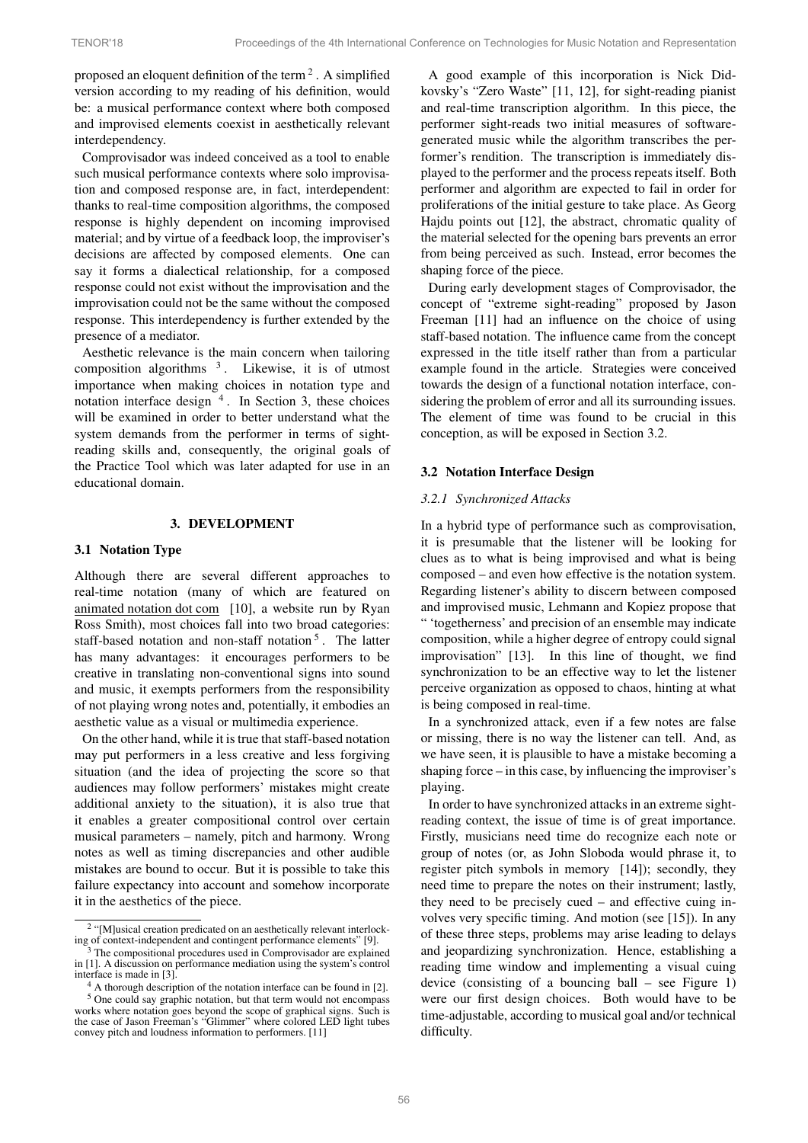proposed an eloquent definition of the term  $2$ . A simplified version according to my reading of his definition, would be: a musical performance context where both composed and improvised elements coexist in aesthetically relevant interdependency.

Comprovisador was indeed conceived as a tool to enable such musical performance contexts where solo improvisation and composed response are, in fact, interdependent: thanks to real-time composition algorithms, the composed response is highly dependent on incoming improvised material; and by virtue of a feedback loop, the improviser's decisions are affected by composed elements. One can say it forms a dialectical relationship, for a composed response could not exist without the improvisation and the improvisation could not be the same without the composed response. This interdependency is further extended by the presence of a mediator.

Aesthetic relevance is the main concern when tailoring composition algorithms  $3$ . Likewise, it is of utmost importance when making choices in notation type and notation interface design [4](#page-1-2) . In Section [3,](#page-1-3) these choices will be examined in order to better understand what the system demands from the performer in terms of sightreading skills and, consequently, the original goals of the Practice Tool which was later adapted for use in an educational domain.

## 3. DEVELOPMENT

#### <span id="page-1-3"></span>3.1 Notation Type

Although there are several different approaches to real-time notation (many of which are featured on [animated notation dot com](http://animatednotation.com) [\[10\]](#page-6-9), a website run by Ryan Ross Smith), most choices fall into two broad categories: staff-based notation and non-staff notation  $5$ . The latter has many advantages: it encourages performers to be creative in translating non-conventional signs into sound and music, it exempts performers from the responsibility of not playing wrong notes and, potentially, it embodies an aesthetic value as a visual or multimedia experience.

On the other hand, while it is true that staff-based notation may put performers in a less creative and less forgiving situation (and the idea of projecting the score so that audiences may follow performers' mistakes might create additional anxiety to the situation), it is also true that it enables a greater compositional control over certain musical parameters – namely, pitch and harmony. Wrong notes as well as timing discrepancies and other audible mistakes are bound to occur. But it is possible to take this failure expectancy into account and somehow incorporate it in the aesthetics of the piece.

A good example of this incorporation is Nick Didkovsky's "Zero Waste" [\[11,](#page-6-10) [12\]](#page-6-11), for sight-reading pianist and real-time transcription algorithm. In this piece, the performer sight-reads two initial measures of softwaregenerated music while the algorithm transcribes the performer's rendition. The transcription is immediately displayed to the performer and the process repeats itself. Both performer and algorithm are expected to fail in order for proliferations of the initial gesture to take place. As Georg Hajdu points out [\[12\]](#page-6-11), the abstract, chromatic quality of the material selected for the opening bars prevents an error from being perceived as such. Instead, error becomes the shaping force of the piece.

During early development stages of Comprovisador, the concept of "extreme sight-reading" proposed by Jason Freeman [\[11\]](#page-6-10) had an influence on the choice of using staff-based notation. The influence came from the concept expressed in the title itself rather than from a particular example found in the article. Strategies were conceived towards the design of a functional notation interface, considering the problem of error and all its surrounding issues. The element of time was found to be crucial in this conception, as will be exposed in Section [3.2.](#page-1-5)

## <span id="page-1-5"></span>3.2 Notation Interface Design

## *3.2.1 Synchronized Attacks*

In a hybrid type of performance such as comprovisation, it is presumable that the listener will be looking for clues as to what is being improvised and what is being composed – and even how effective is the notation system. Regarding listener's ability to discern between composed and improvised music, Lehmann and Kopiez propose that " 'togetherness' and precision of an ensemble may indicate composition, while a higher degree of entropy could signal improvisation" [\[13\]](#page-6-12). In this line of thought, we find synchronization to be an effective way to let the listener perceive organization as opposed to chaos, hinting at what is being composed in real-time.

In a synchronized attack, even if a few notes are false or missing, there is no way the listener can tell. And, as we have seen, it is plausible to have a mistake becoming a shaping force – in this case, by influencing the improviser's playing.

In order to have synchronized attacks in an extreme sightreading context, the issue of time is of great importance. Firstly, musicians need time do recognize each note or group of notes (or, as John Sloboda would phrase it, to register pitch symbols in memory [\[14\]](#page-6-13)); secondly, they need time to prepare the notes on their instrument; lastly, they need to be precisely cued – and effective cuing involves very specific timing. And motion (see [\[15\]](#page-6-14)). In any of these three steps, problems may arise leading to delays and jeopardizing synchronization. Hence, establishing a reading time window and implementing a visual cuing device (consisting of a bouncing ball – see Figure [1\)](#page-2-0) were our first design choices. Both would have to be time-adjustable, according to musical goal and/or technical difficulty.

<span id="page-1-0"></span><sup>&</sup>lt;sup>2</sup> "[M]usical creation predicated on an aesthetically relevant interlocking of context-independent and contingent performance elements" [\[9\]](#page-6-8).

<span id="page-1-1"></span>The compositional procedures used in Comprovisador are explained in [\[1\]](#page-6-0). A discussion on performance mediation using the system's control interface is made in [\[3\]](#page-6-2).

<span id="page-1-4"></span><span id="page-1-2"></span><sup>4</sup> A thorough description of the notation interface can be found in [\[2\]](#page-6-1).

<sup>5</sup> One could say graphic notation, but that term would not encompass works where notation goes beyond the scope of graphical signs. Such is the case of Jason Freeman's "Glimmer" where colored LED light tubes convey pitch and loudness information to performers. [\[11\]](#page-6-10)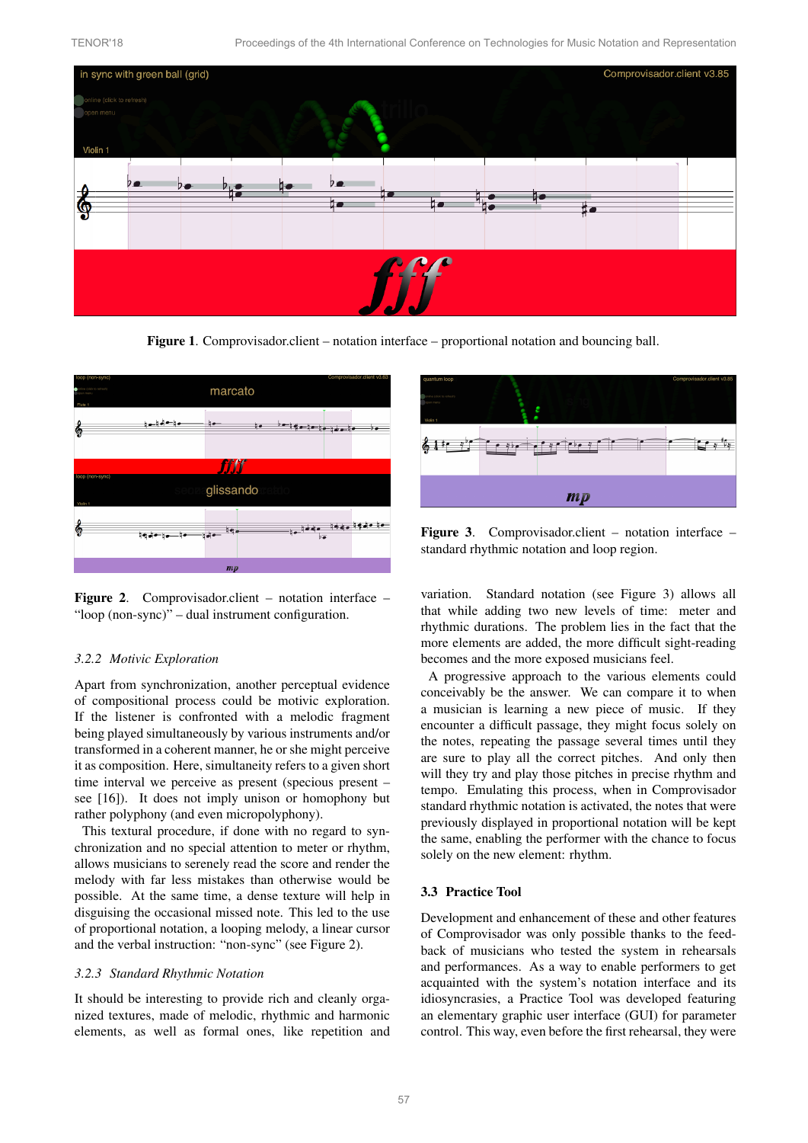

<span id="page-2-0"></span>Figure 1. Comprovisador.client – notation interface – proportional notation and bouncing ball.

<span id="page-2-1"></span>

Figure 2. Comprovisador.client – notation interface – "loop (non-sync)" – dual instrument configuration.

## *3.2.2 Motivic Exploration*

Apart from synchronization, another perceptual evidence of compositional process could be motivic exploration. If the listener is confronted with a melodic fragment being played simultaneously by various instruments and/or transformed in a coherent manner, he or she might perceive it as composition. Here, simultaneity refers to a given short time interval we perceive as present (specious present – see [\[16\]](#page-6-15)). It does not imply unison or homophony but rather polyphony (and even micropolyphony).

This textural procedure, if done with no regard to synchronization and no special attention to meter or rhythm, allows musicians to serenely read the score and render the melody with far less mistakes than otherwise would be possible. At the same time, a dense texture will help in disguising the occasional missed note. This led to the use of proportional notation, a looping melody, a linear cursor and the verbal instruction: "non-sync" (see Figure [2\)](#page-2-1).

#### *3.2.3 Standard Rhythmic Notation*

It should be interesting to provide rich and cleanly organized textures, made of melodic, rhythmic and harmonic elements, as well as formal ones, like repetition and

<span id="page-2-2"></span>

Figure 3. Comprovisador.client – notation interface – standard rhythmic notation and loop region.

variation. Standard notation (see Figure [3\)](#page-2-2) allows all that while adding two new levels of time: meter and rhythmic durations. The problem lies in the fact that the more elements are added, the more difficult sight-reading becomes and the more exposed musicians feel.

A progressive approach to the various elements could conceivably be the answer. We can compare it to when a musician is learning a new piece of music. If they encounter a difficult passage, they might focus solely on the notes, repeating the passage several times until they are sure to play all the correct pitches. And only then will they try and play those pitches in precise rhythm and tempo. Emulating this process, when in Comprovisador standard rhythmic notation is activated, the notes that were previously displayed in proportional notation will be kept the same, enabling the performer with the chance to focus solely on the new element: rhythm.

#### 3.3 Practice Tool

Development and enhancement of these and other features of Comprovisador was only possible thanks to the feedback of musicians who tested the system in rehearsals and performances. As a way to enable performers to get acquainted with the system's notation interface and its idiosyncrasies, a Practice Tool was developed featuring an elementary graphic user interface (GUI) for parameter control. This way, even before the first rehearsal, they were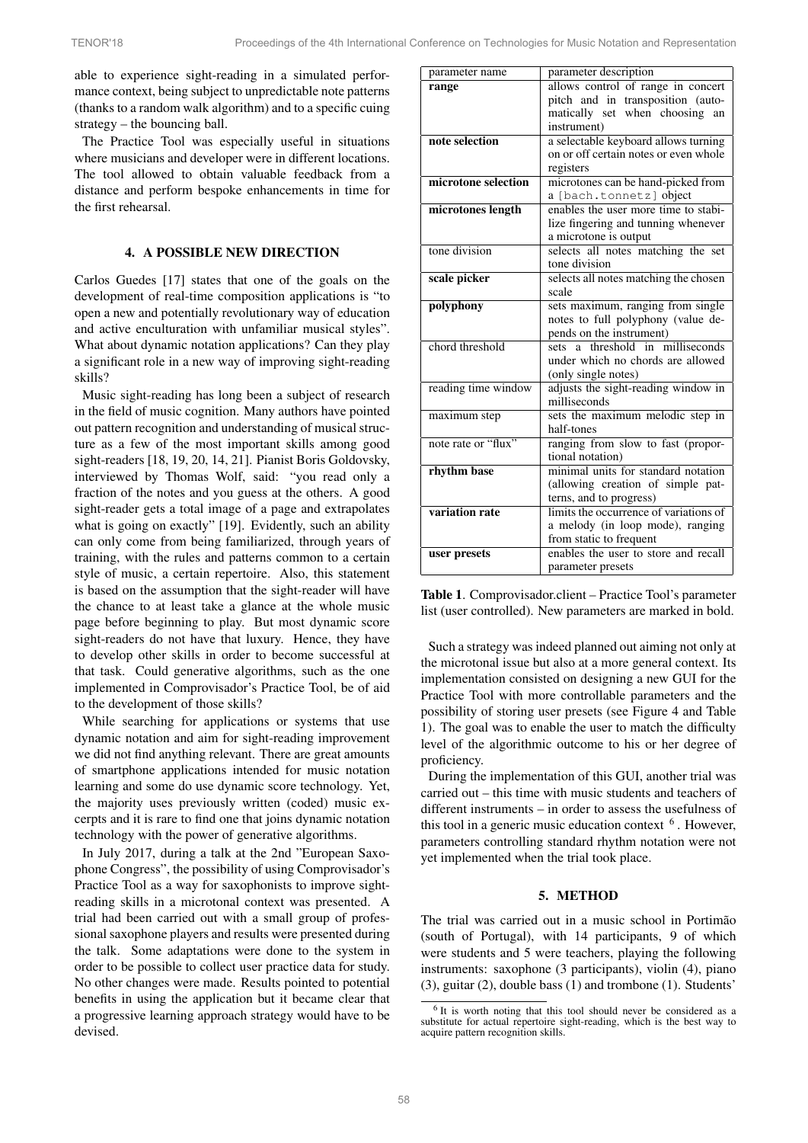able to experience sight-reading in a simulated performance context, being subject to unpredictable note patterns (thanks to a random walk algorithm) and to a specific cuing strategy – the bouncing ball.

The Practice Tool was especially useful in situations where musicians and developer were in different locations. The tool allowed to obtain valuable feedback from a distance and perform bespoke enhancements in time for the first rehearsal.

## 4. A POSSIBLE NEW DIRECTION

Carlos Guedes [\[17\]](#page-6-16) states that one of the goals on the development of real-time composition applications is "to open a new and potentially revolutionary way of education and active enculturation with unfamiliar musical styles". What about dynamic notation applications? Can they play a significant role in a new way of improving sight-reading skills?

Music sight-reading has long been a subject of research in the field of music cognition. Many authors have pointed out pattern recognition and understanding of musical structure as a few of the most important skills among good sight-readers [\[18,](#page-6-17) [19,](#page-6-18) [20,](#page-6-19) [14,](#page-6-13) [21\]](#page-6-20). Pianist Boris Goldovsky, interviewed by Thomas Wolf, said: "you read only a fraction of the notes and you guess at the others. A good sight-reader gets a total image of a page and extrapolates what is going on exactly" [\[19\]](#page-6-18). Evidently, such an ability can only come from being familiarized, through years of training, with the rules and patterns common to a certain style of music, a certain repertoire. Also, this statement is based on the assumption that the sight-reader will have the chance to at least take a glance at the whole music page before beginning to play. But most dynamic score sight-readers do not have that luxury. Hence, they have to develop other skills in order to become successful at that task. Could generative algorithms, such as the one implemented in Comprovisador's Practice Tool, be of aid to the development of those skills?

While searching for applications or systems that use dynamic notation and aim for sight-reading improvement we did not find anything relevant. There are great amounts of smartphone applications intended for music notation learning and some do use dynamic score technology. Yet, the majority uses previously written (coded) music excerpts and it is rare to find one that joins dynamic notation technology with the power of generative algorithms.

In July 2017, during a talk at the 2nd "European Saxophone Congress", the possibility of using Comprovisador's Practice Tool as a way for saxophonists to improve sightreading skills in a microtonal context was presented. A trial had been carried out with a small group of professional saxophone players and results were presented during the talk. Some adaptations were done to the system in order to be possible to collect user practice data for study. No other changes were made. Results pointed to potential benefits in using the application but it became clear that a progressive learning approach strategy would have to be devised.

<span id="page-3-0"></span>

| parameter name      | parameter description                  |  |  |  |  |
|---------------------|----------------------------------------|--|--|--|--|
| range               | allows control of range in concert     |  |  |  |  |
|                     | pitch and in transposition (auto-      |  |  |  |  |
|                     | matically set when choosing<br>an      |  |  |  |  |
|                     | instrument)                            |  |  |  |  |
| note selection      | a selectable keyboard allows turning   |  |  |  |  |
|                     | on or off certain notes or even whole  |  |  |  |  |
|                     | registers                              |  |  |  |  |
| microtone selection | microtones can be hand-picked from     |  |  |  |  |
|                     | a [bach.tonnetz] object                |  |  |  |  |
| microtones length   | enables the user more time to stabi-   |  |  |  |  |
|                     | lize fingering and tunning whenever    |  |  |  |  |
|                     | a microtone is output                  |  |  |  |  |
| tone division       | selects all notes matching the set     |  |  |  |  |
|                     | tone division                          |  |  |  |  |
| scale picker        | selects all notes matching the chosen  |  |  |  |  |
|                     | scale                                  |  |  |  |  |
| polyphony           | sets maximum, ranging from single      |  |  |  |  |
|                     | notes to full polyphony (value de-     |  |  |  |  |
|                     | pends on the instrument)               |  |  |  |  |
| chord threshold     | sets a threshold in milliseconds       |  |  |  |  |
|                     | under which no chords are allowed      |  |  |  |  |
|                     | (only single notes)                    |  |  |  |  |
| reading time window | adjusts the sight-reading window in    |  |  |  |  |
|                     | milliseconds                           |  |  |  |  |
| maximum step        | sets the maximum melodic step in       |  |  |  |  |
|                     | half-tones                             |  |  |  |  |
| note rate or "flux" | ranging from slow to fast (propor-     |  |  |  |  |
|                     | tional notation)                       |  |  |  |  |
| rhythm base         | minimal units for standard notation    |  |  |  |  |
|                     | (allowing creation of simple pat-      |  |  |  |  |
|                     | terns, and to progress)                |  |  |  |  |
| variation rate      | limits the occurrence of variations of |  |  |  |  |
|                     | a melody (in loop mode), ranging       |  |  |  |  |
|                     | from static to frequent                |  |  |  |  |
| user presets        | enables the user to store and recall   |  |  |  |  |
|                     | parameter presets                      |  |  |  |  |

Table 1. Comprovisador.client – Practice Tool's parameter list (user controlled). New parameters are marked in bold.

Such a strategy was indeed planned out aiming not only at the microtonal issue but also at a more general context. Its implementation consisted on designing a new GUI for the Practice Tool with more controllable parameters and the possibility of storing user presets (see Figure [4](#page-4-0) and Table [1\)](#page-3-0). The goal was to enable the user to match the difficulty level of the algorithmic outcome to his or her degree of proficiency.

During the implementation of this GUI, another trial was carried out – this time with music students and teachers of different instruments – in order to assess the usefulness of this tool in a generic music education context  $<sup>6</sup>$  $<sup>6</sup>$  $<sup>6</sup>$ . However,</sup> parameters controlling standard rhythm notation were not yet implemented when the trial took place.

#### 5. METHOD

The trial was carried out in a music school in Portimão (south of Portugal), with 14 participants, 9 of which were students and 5 were teachers, playing the following instruments: saxophone (3 participants), violin (4), piano (3), guitar (2), double bass (1) and trombone (1). Students'

<span id="page-3-1"></span><sup>6</sup> It is worth noting that this tool should never be considered as a substitute for actual repertoire sight-reading, which is the best way to acquire pattern recognition skills.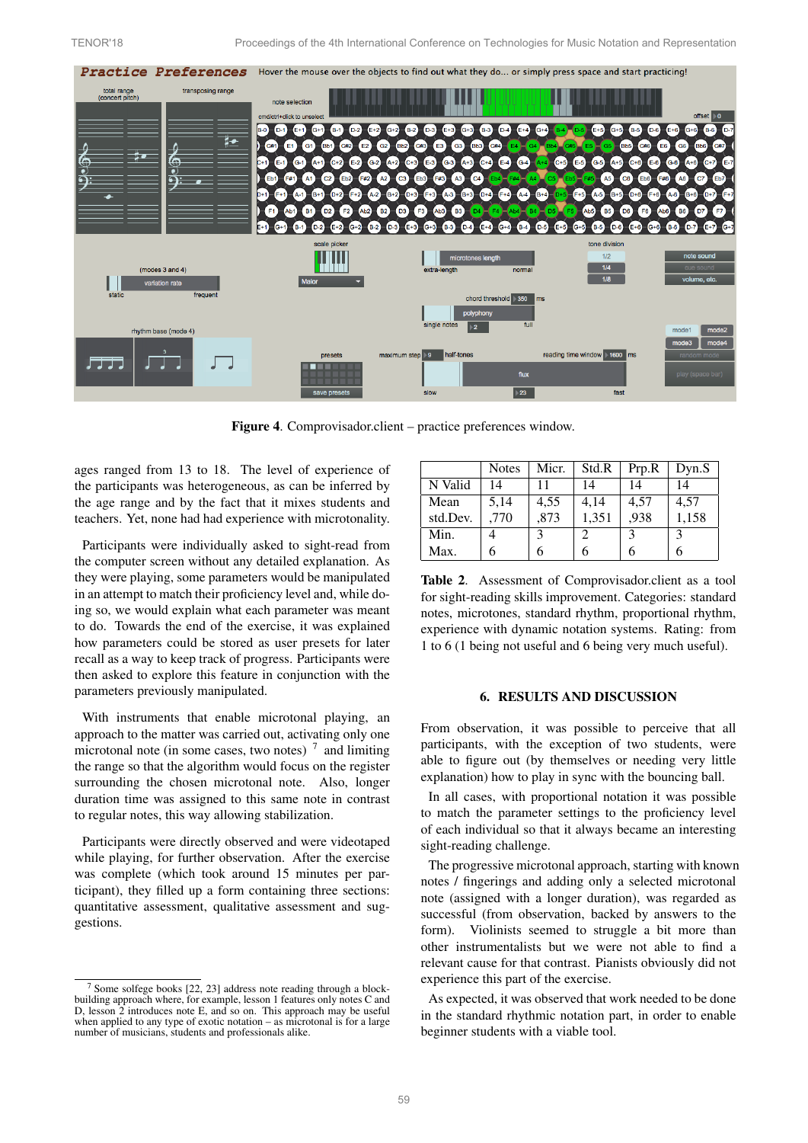

<span id="page-4-0"></span>Figure 4. Comprovisador.client – practice preferences window.

ages ranged from 13 to 18. The level of experience of the participants was heterogeneous, as can be inferred by the age range and by the fact that it mixes students and teachers. Yet, none had had experience with microtonality.

Participants were individually asked to sight-read from the computer screen without any detailed explanation. As they were playing, some parameters would be manipulated in an attempt to match their proficiency level and, while doing so, we would explain what each parameter was meant to do. Towards the end of the exercise, it was explained how parameters could be stored as user presets for later recall as a way to keep track of progress. Participants were then asked to explore this feature in conjunction with the parameters previously manipulated.

With instruments that enable microtonal playing, an approach to the matter was carried out, activating only one microtonal note (in some cases, two notes)  $<sup>7</sup>$  $<sup>7</sup>$  $<sup>7</sup>$  and limiting</sup> the range so that the algorithm would focus on the register surrounding the chosen microtonal note. Also, longer duration time was assigned to this same note in contrast to regular notes, this way allowing stabilization.

Participants were directly observed and were videotaped while playing, for further observation. After the exercise was complete (which took around 15 minutes per participant), they filled up a form containing three sections: quantitative assessment, qualitative assessment and suggestions.

<span id="page-4-2"></span>

|          | <b>Notes</b> | Micr. | Std.R | Prp.R       | Dyn.S         |
|----------|--------------|-------|-------|-------------|---------------|
| N Valid  | 14           | 11    | 14    | 14          | 14            |
| Mean     | 5,14         | 4,55  | 4,14  | 4,57        | 4,57          |
| std.Dev. | ,770         | ,873  | 1,351 | .938        | 1,158         |
| Min.     |              | 3     | 2     | $\mathbf 3$ | $\mathcal{E}$ |
| Max.     | 6            | 6     |       |             |               |

Table 2. Assessment of Comprovisador.client as a tool for sight-reading skills improvement. Categories: standard notes, microtones, standard rhythm, proportional rhythm, experience with dynamic notation systems. Rating: from 1 to 6 (1 being not useful and 6 being very much useful).

## 6. RESULTS AND DISCUSSION

From observation, it was possible to perceive that all participants, with the exception of two students, were able to figure out (by themselves or needing very little explanation) how to play in sync with the bouncing ball.

In all cases, with proportional notation it was possible to match the parameter settings to the proficiency level of each individual so that it always became an interesting sight-reading challenge.

The progressive microtonal approach, starting with known notes / fingerings and adding only a selected microtonal note (assigned with a longer duration), was regarded as successful (from observation, backed by answers to the form). Violinists seemed to struggle a bit more than other instrumentalists but we were not able to find a relevant cause for that contrast. Pianists obviously did not experience this part of the exercise.

As expected, it was observed that work needed to be done in the standard rhythmic notation part, in order to enable beginner students with a viable tool.

<span id="page-4-1"></span><sup>7</sup> Some solfege books [\[22,](#page-6-21) [23\]](#page-6-22) address note reading through a blockbuilding approach where, for example, lesson 1 features only notes C and D, lesson 2 introduces note E, and so on. This approach may be useful when applied to any type of exotic notation – as microtonal is for a large number of musicians, students and professionals alike.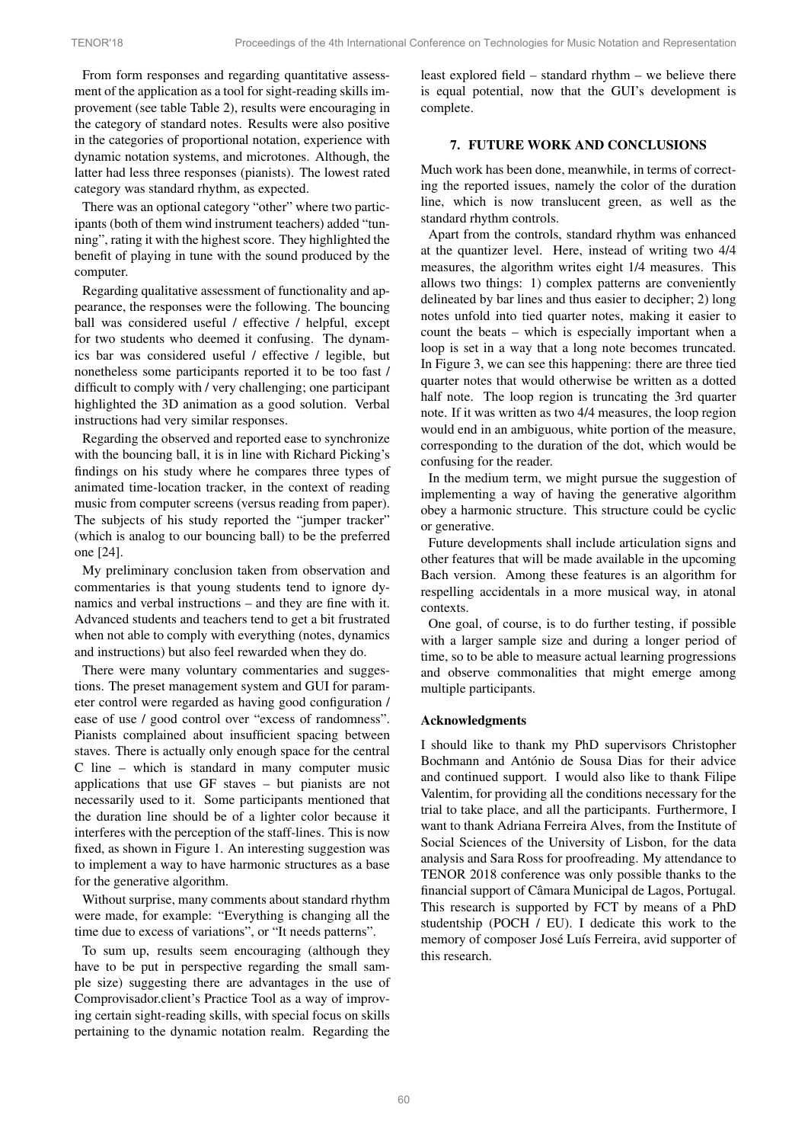From form responses and regarding quantitative assessment of the application as a tool for sight-reading skills improvement (see table Table [2\)](#page-4-2), results were encouraging in the category of standard notes. Results were also positive in the categories of proportional notation, experience with dynamic notation systems, and microtones. Although, the latter had less three responses (pianists). The lowest rated category was standard rhythm, as expected.

There was an optional category "other" where two participants (both of them wind instrument teachers) added "tunning", rating it with the highest score. They highlighted the benefit of playing in tune with the sound produced by the computer.

Regarding qualitative assessment of functionality and appearance, the responses were the following. The bouncing ball was considered useful / effective / helpful, except for two students who deemed it confusing. The dynamics bar was considered useful / effective / legible, but nonetheless some participants reported it to be too fast / difficult to comply with / very challenging; one participant highlighted the 3D animation as a good solution. Verbal instructions had very similar responses.

Regarding the observed and reported ease to synchronize with the bouncing ball, it is in line with Richard Picking's findings on his study where he compares three types of animated time-location tracker, in the context of reading music from computer screens (versus reading from paper). The subjects of his study reported the "jumper tracker" (which is analog to our bouncing ball) to be the preferred one [\[24\]](#page-6-23).

My preliminary conclusion taken from observation and commentaries is that young students tend to ignore dynamics and verbal instructions – and they are fine with it. Advanced students and teachers tend to get a bit frustrated when not able to comply with everything (notes, dynamics and instructions) but also feel rewarded when they do.

There were many voluntary commentaries and suggestions. The preset management system and GUI for parameter control were regarded as having good configuration / ease of use / good control over "excess of randomness". Pianists complained about insufficient spacing between staves. There is actually only enough space for the central C line – which is standard in many computer music applications that use GF staves – but pianists are not necessarily used to it. Some participants mentioned that the duration line should be of a lighter color because it interferes with the perception of the staff-lines. This is now fixed, as shown in Figure [1.](#page-2-0) An interesting suggestion was to implement a way to have harmonic structures as a base for the generative algorithm.

Without surprise, many comments about standard rhythm were made, for example: "Everything is changing all the time due to excess of variations", or "It needs patterns".

To sum up, results seem encouraging (although they have to be put in perspective regarding the small sample size) suggesting there are advantages in the use of Comprovisador.client's Practice Tool as a way of improving certain sight-reading skills, with special focus on skills pertaining to the dynamic notation realm. Regarding the

least explored field – standard rhythm – we believe there is equal potential, now that the GUI's development is complete.

## 7. FUTURE WORK AND CONCLUSIONS

Much work has been done, meanwhile, in terms of correcting the reported issues, namely the color of the duration line, which is now translucent green, as well as the standard rhythm controls.

Apart from the controls, standard rhythm was enhanced at the quantizer level. Here, instead of writing two 4/4 measures, the algorithm writes eight 1/4 measures. This allows two things: 1) complex patterns are conveniently delineated by bar lines and thus easier to decipher; 2) long notes unfold into tied quarter notes, making it easier to count the beats – which is especially important when a loop is set in a way that a long note becomes truncated. In Figure [3,](#page-2-2) we can see this happening: there are three tied quarter notes that would otherwise be written as a dotted half note. The loop region is truncating the 3rd quarter note. If it was written as two 4/4 measures, the loop region would end in an ambiguous, white portion of the measure, corresponding to the duration of the dot, which would be confusing for the reader.

In the medium term, we might pursue the suggestion of implementing a way of having the generative algorithm obey a harmonic structure. This structure could be cyclic or generative.

Future developments shall include articulation signs and other features that will be made available in the upcoming Bach version. Among these features is an algorithm for respelling accidentals in a more musical way, in atonal contexts.

One goal, of course, is to do further testing, if possible with a larger sample size and during a longer period of time, so to be able to measure actual learning progressions and observe commonalities that might emerge among multiple participants.

## Acknowledgments

I should like to thank my PhD supervisors Christopher Bochmann and António de Sousa Dias for their advice and continued support. I would also like to thank Filipe Valentim, for providing all the conditions necessary for the trial to take place, and all the participants. Furthermore, I want to thank Adriana Ferreira Alves, from the Institute of Social Sciences of the University of Lisbon, for the data analysis and Sara Ross for proofreading. My attendance to TENOR 2018 conference was only possible thanks to the financial support of Câmara Municipal de Lagos, Portugal. This research is supported by FCT by means of a PhD studentship (POCH / EU). I dedicate this work to the memory of composer José Luís Ferreira, avid supporter of this research.